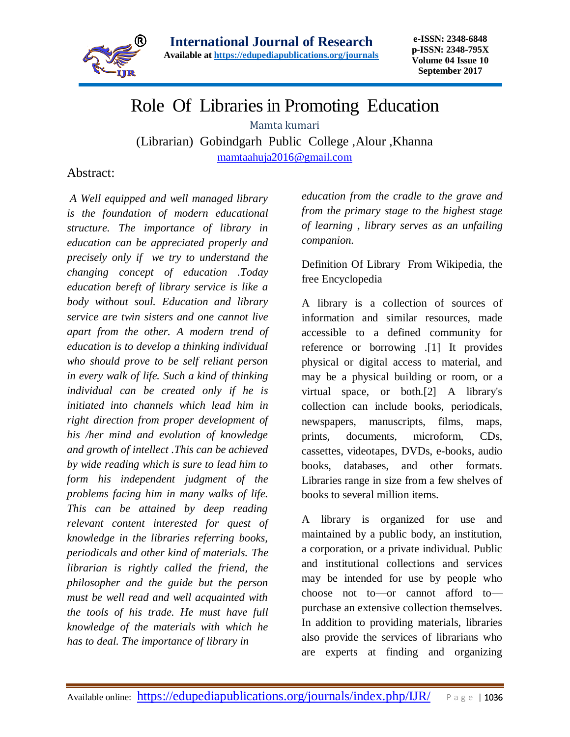

# Role Of Libraries in Promoting Education

Mamta kumari (Librarian) Gobindgarh Public College ,Alour ,Khanna [mamtaahuja2016@gmail.com](mailto:mamtaahuja2016@gmail.com)

### Abstract:

*A Well equipped and well managed library is the foundation of modern educational structure. The importance of library in education can be appreciated properly and precisely only if we try to understand the changing concept of education .Today education bereft of library service is like a body without soul. Education and library service are twin sisters and one cannot live apart from the other. A modern trend of education is to develop a thinking individual who should prove to be self reliant person in every walk of life. Such a kind of thinking individual can be created only if he is initiated into channels which lead him in right direction from proper development of his /her mind and evolution of knowledge and growth of intellect .This can be achieved by wide reading which is sure to lead him to form his independent judgment of the problems facing him in many walks of life. This can be attained by deep reading relevant content interested for quest of knowledge in the libraries referring books, periodicals and other kind of materials. The librarian is rightly called the friend, the philosopher and the guide but the person must be well read and well acquainted with the tools of his trade. He must have full knowledge of the materials with which he has to deal. The importance of library in* 

*education from the cradle to the grave and from the primary stage to the highest stage of learning , library serves as an unfailing companion.*

Definition Of Library From Wikipedia, the free Encyclopedia

A library is a collection of sources of information and similar resources, made accessible to a defined community for reference or borrowing .[1] It provides physical or digital access to material, and may be a physical building or room, or a virtual space, or both.[2] A library's collection can include books, periodicals, newspapers, manuscripts, films, maps, prints, documents, microform, CDs, cassettes, videotapes, DVDs, e-books, audio books, databases, and other formats. Libraries range in size from a few shelves of books to several million items.

A library is organized for use and maintained by a public body, an institution, a corporation, or a private individual. Public and institutional collections and services may be intended for use by people who choose not to—or cannot afford to purchase an extensive collection themselves. In addition to providing materials, libraries also provide the services of librarians who are experts at finding and organizing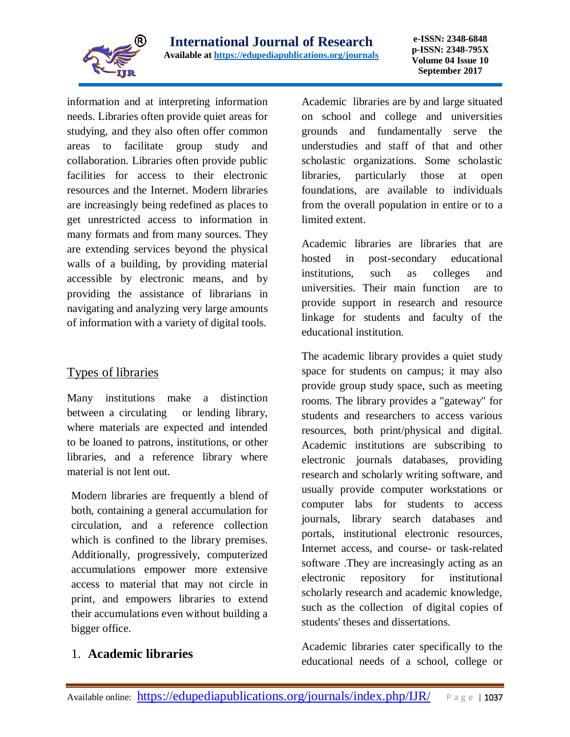

information and at interpreting information needs. Libraries often provide quiet areas for studying, and they also often offer common areas to facilitate group study and collaboration. Libraries often provide public facilities for access to their electronic resources and the Internet. Modern libraries are increasingly being redefined as places to get unrestricted access to information in many formats and from many sources. They are extending services beyond the physical walls of a building, by providing material accessible by electronic means, and by providing the assistance of librarians in navigating and analyzing very large amounts of information with a variety of digital tools.

### Types of libraries

Many institutions make a distinction between a circulating or lending library, where materials are expected and intended to be loaned to patrons, institutions, or other libraries, and a reference library where material is not lent out.

Modern libraries are frequently a blend of both, containing a general accumulation for circulation, and a reference collection which is confined to the library premises. Additionally, progressively, computerized accumulations empower more extensive access to material that may not circle in print, and empowers libraries to extend their accumulations even without building a bigger office.

Academic libraries are by and large situated on school and college and universities grounds and fundamentally serve the understudies and staff of that and other scholastic organizations. Some scholastic libraries, particularly those at open foundations, are available to individuals from the overall population in entire or to a limited extent.

Academic libraries are libraries that are hosted in post-secondary educational institutions, such as colleges and universities. Their main function are to provide support in research and resource linkage for students and faculty of the educational institution.

The academic library provides a quiet study space for students on campus; it may also provide group study space, such as meeting rooms. The library provides a "gateway" for students and researchers to access various resources, both print/physical and digital. Academic institutions are subscribing to electronic journals databases, providing research and scholarly writing software, and usually provide computer workstations or computer labs for students to access journals, library search databases and portals, institutional electronic resources, Internet access, and course- or task-related software .They are increasingly acting as an electronic repository for institutional scholarly research and academic knowledge, such as the collection of digital copies of students' theses and dissertations.

Academic libraries cater specifically to the educational needs of a school, college or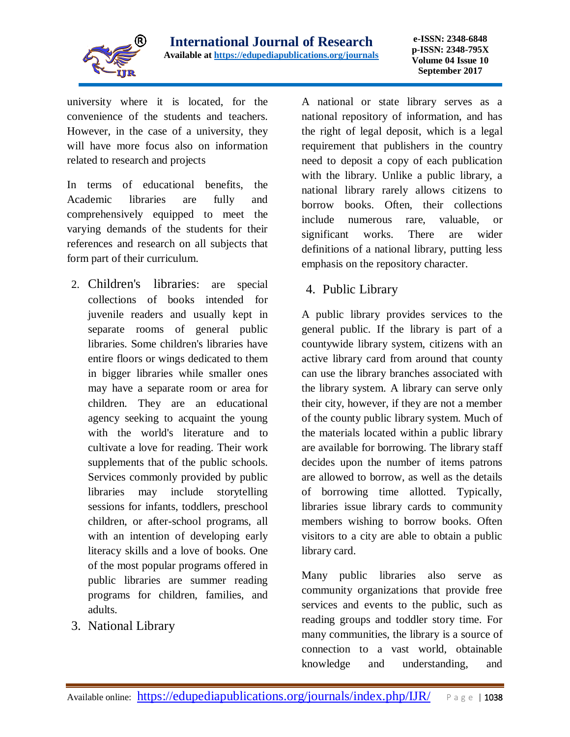

university where it is located, for the convenience of the students and teachers. However, in the case of a university, they will have more focus also on information related to research and projects

In terms of educational benefits, the Academic libraries are fully and comprehensively equipped to meet the varying demands of the students for their references and research on all subjects that form part of their curriculum.

- 2. Children's libraries: are special collections of books intended for juvenile readers and usually kept in separate rooms of general public libraries. Some children's libraries have entire floors or wings dedicated to them in bigger libraries while smaller ones may have a separate room or area for children. They are an educational agency seeking to acquaint the young with the world's literature and to cultivate a love for reading. Their work supplements that of the public schools. Services commonly provided by public libraries may include storytelling sessions for infants, toddlers, preschool children, or after-school programs, all with an intention of developing early literacy skills and a love of books. One of the most popular programs offered in public libraries are summer reading programs for children, families, and adults.
- 3. National Library

A national or state library serves as a national repository of information, and has the right of legal deposit, which is a legal requirement that publishers in the country need to deposit a copy of each publication with the library. Unlike a public library, a national library rarely allows citizens to borrow books. Often, their collections include numerous rare, valuable, or significant works. There are wider definitions of a national library, putting less emphasis on the repository character.

### 4. Public Library

A public library provides services to the general public. If the library is part of a countywide library system, citizens with an active library card from around that county can use the library branches associated with the library system. A library can serve only their city, however, if they are not a member of the county public library system. Much of the materials located within a public library are available for borrowing. The library staff decides upon the number of items patrons are allowed to borrow, as well as the details of borrowing time allotted. Typically, libraries issue library cards to community members wishing to borrow books. Often visitors to a city are able to obtain a public library card.

Many public libraries also serve as community organizations that provide free services and events to the public, such as reading groups and toddler story time. For many communities, the library is a source of connection to a vast world, obtainable knowledge and understanding, and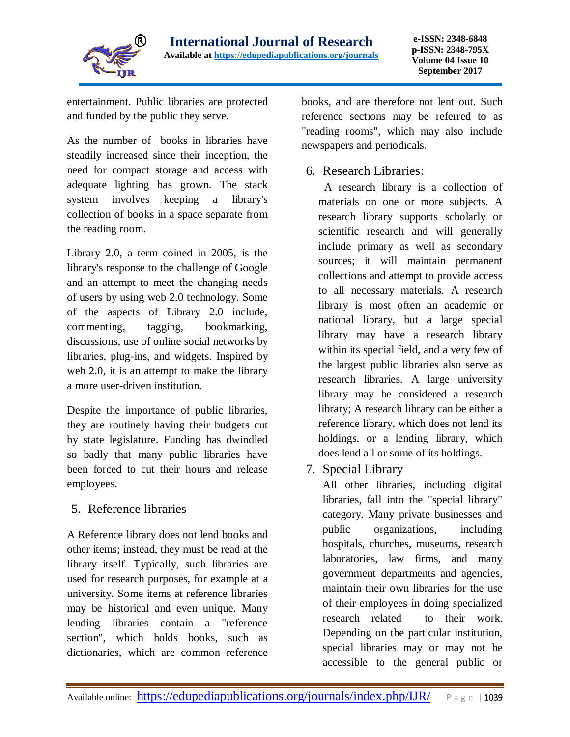

entertainment. Public libraries are protected and funded by the public they serve.

As the number of books in libraries have steadily increased since their inception, the need for compact storage and access with adequate lighting has grown. The stack system involves keeping a library's collection of books in a space separate from the reading room.

Library 2.0, a term coined in 2005, is the library's response to the challenge of Google and an attempt to meet the changing needs of users by using web 2.0 technology. Some of the aspects of Library 2.0 include, commenting, tagging, bookmarking, discussions, use of online social networks by libraries, plug-ins, and widgets. Inspired by web 2.0, it is an attempt to make the library a more user-driven institution.

Despite the importance of public libraries, they are routinely having their budgets cut by state legislature. Funding has dwindled so badly that many public libraries have been forced to cut their hours and release employees.

5. Reference libraries

A Reference library does not lend books and other items; instead, they must be read at the library itself. Typically, such libraries are used for research purposes, for example at a university. Some items at reference libraries may be historical and even unique. Many lending libraries contain a "reference section", which holds books, such as dictionaries, which are common reference

books, and are therefore not lent out. Such reference sections may be referred to as "reading rooms", which may also include newspapers and periodicals.

## 6. Research Libraries:

 A research library is a collection of materials on one or more subjects. A research library supports scholarly or scientific research and will generally include primary as well as secondary sources; it will maintain permanent collections and attempt to provide access to all necessary materials. A research library is most often an academic or national library, but a large special library may have a research library within its special field, and a very few of the largest public libraries also serve as research libraries. A large university library may be considered a research library; A research library can be either a reference library, which does not lend its holdings, or a lending library, which does lend all or some of its holdings.

7. Special Library

All other libraries, including digital libraries, fall into the "special library" category. Many private businesses and public organizations, including hospitals, churches, museums, research laboratories, law firms, and many government departments and agencies, maintain their own libraries for the use of their employees in doing specialized research related to their work. Depending on the particular institution, special libraries may or may not be accessible to the general public or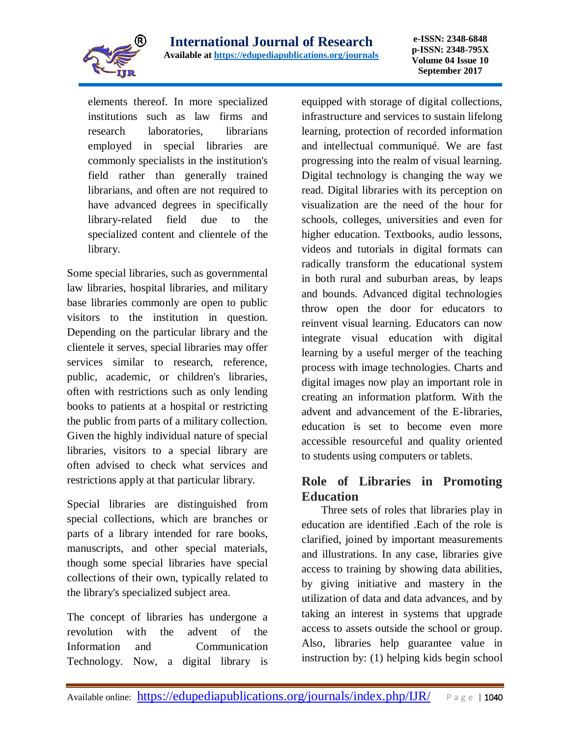

**e-ISSN: 2348-6848 p-ISSN: 2348-795X Volume 04 Issue 10 September 2017**

elements thereof. In more specialized institutions such as law firms and research laboratories, librarians employed in special libraries are commonly specialists in the institution's field rather than generally trained librarians, and often are not required to have advanced degrees in specifically library-related field due to the specialized content and clientele of the library.

Some special libraries, such as governmental law libraries, hospital libraries, and military base libraries commonly are open to public visitors to the institution in question. Depending on the particular library and the clientele it serves, special libraries may offer services similar to research, reference, public, academic, or children's libraries, often with restrictions such as only lending books to patients at a hospital or restricting the public from parts of a military collection. Given the highly individual nature of special libraries, visitors to a special library are often advised to check what services and restrictions apply at that particular library.

Special libraries are distinguished from special collections, which are branches or parts of a library intended for rare books, manuscripts, and other special materials, though some special libraries have special collections of their own, typically related to the library's specialized subject area.

The concept of libraries has undergone a revolution with the advent of the Information and Communication Technology. Now, a digital library is equipped with storage of digital collections, infrastructure and services to sustain lifelong learning, protection of recorded information and intellectual communiqué. We are fast progressing into the realm of visual learning. Digital technology is changing the way we read. Digital libraries with its perception on visualization are the need of the hour for schools, colleges, universities and even for higher education. Textbooks, audio lessons, videos and tutorials in digital formats can radically transform the educational system in both rural and suburban areas, by leaps and bounds. Advanced digital technologies throw open the door for educators to reinvent visual learning. Educators can now integrate visual education with digital learning by a useful merger of the teaching process with image technologies. Charts and digital images now play an important role in creating an information platform. With the advent and advancement of the E-libraries, education is set to become even more accessible resourceful and quality oriented to students using computers or tablets.

### **Role of Libraries in Promoting Education**

 Three sets of roles that libraries play in education are identified .Each of the role is clarified, joined by important measurements and illustrations. In any case, libraries give access to training by showing data abilities, by giving initiative and mastery in the utilization of data and data advances, and by taking an interest in systems that upgrade access to assets outside the school or group. Also, libraries help guarantee value in instruction by: (1) helping kids begin school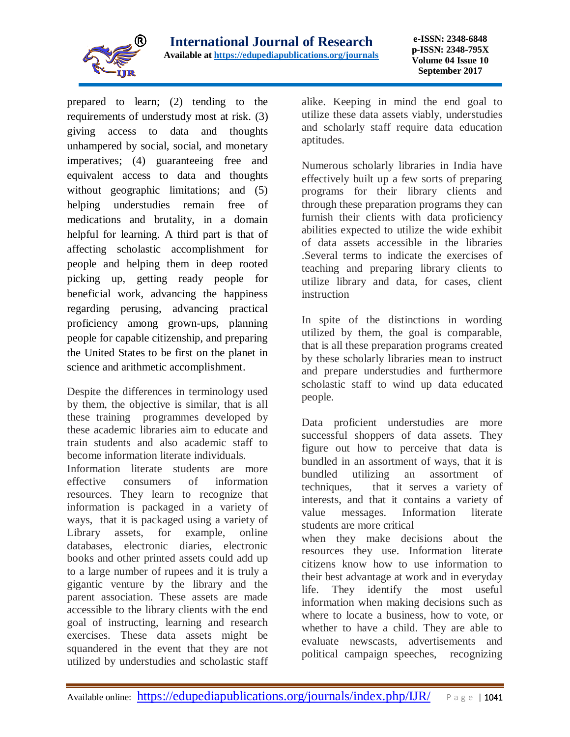

prepared to learn; (2) tending to the requirements of understudy most at risk. (3) giving access to data and thoughts unhampered by social, social, and monetary imperatives; (4) guaranteeing free and equivalent access to data and thoughts without geographic limitations; and (5) helping understudies remain free of medications and brutality, in a domain helpful for learning. A third part is that of affecting scholastic accomplishment for people and helping them in deep rooted picking up, getting ready people for beneficial work, advancing the happiness regarding perusing, advancing practical proficiency among grown-ups, planning people for capable citizenship, and preparing the United States to be first on the planet in science and arithmetic accomplishment.

Despite the differences in terminology used by them, the objective is similar, that is all these training programmes developed by these academic libraries aim to educate and train students and also academic staff to become information literate individuals. Information literate students are more effective consumers of information resources. They learn to recognize that information is packaged in a variety of ways, that it is packaged using a variety of Library assets, for example, online databases, electronic diaries, electronic books and other printed assets could add up to a large number of rupees and it is truly a gigantic venture by the library and the parent association. These assets are made accessible to the library clients with the end goal of instructing, learning and research exercises. These data assets might be squandered in the event that they are not utilized by understudies and scholastic staff alike. Keeping in mind the end goal to utilize these data assets viably, understudies and scholarly staff require data education aptitudes.

Numerous scholarly libraries in India have effectively built up a few sorts of preparing programs for their library clients and through these preparation programs they can furnish their clients with data proficiency abilities expected to utilize the wide exhibit of data assets accessible in the libraries .Several terms to indicate the exercises of teaching and preparing library clients to utilize library and data, for cases, client instruction

In spite of the distinctions in wording utilized by them, the goal is comparable, that is all these preparation programs created by these scholarly libraries mean to instruct and prepare understudies and furthermore scholastic staff to wind up data educated people.

Data proficient understudies are more successful shoppers of data assets. They figure out how to perceive that data is bundled in an assortment of ways, that it is bundled utilizing an assortment of techniques, that it serves a variety of interests, and that it contains a variety of value messages. Information literate students are more critical when they make decisions about the resources they use. Information literate citizens know how to use information to their best advantage at work and in everyday life. They identify the most useful information when making decisions such as where to locate a business, how to vote, or whether to have a child. They are able to evaluate newscasts, advertisements and

political campaign speeches, recognizing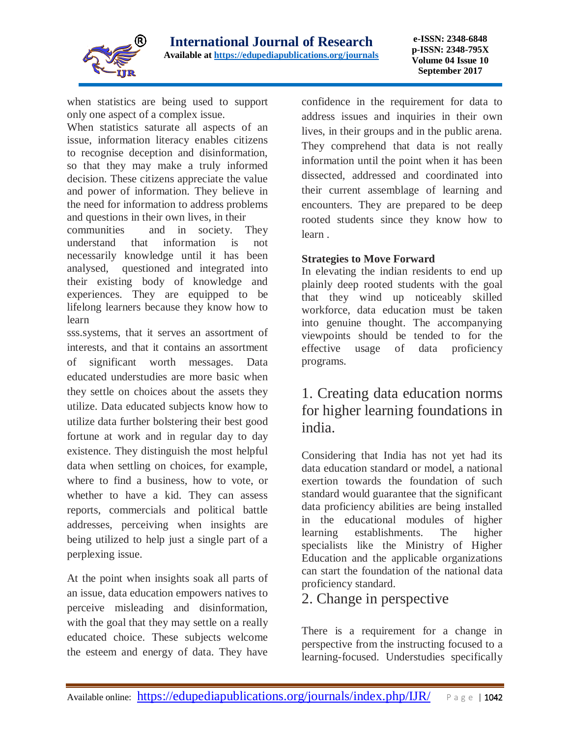

when statistics are being used to support only one aspect of a complex issue.

When statistics saturate all aspects of an issue, information literacy enables citizens to recognise deception and disinformation, so that they may make a truly informed decision. These citizens appreciate the value and power of information. They believe in the need for information to address problems and questions in their own lives, in their

communities and in society. They understand that information is not necessarily knowledge until it has been analysed, questioned and integrated into their existing body of knowledge and experiences. They are equipped to be lifelong learners because they know how to learn

sss.systems, that it serves an assortment of interests, and that it contains an assortment of significant worth messages. Data educated understudies are more basic when they settle on choices about the assets they utilize. Data educated subjects know how to utilize data further bolstering their best good fortune at work and in regular day to day existence. They distinguish the most helpful data when settling on choices, for example, where to find a business, how to vote, or whether to have a kid. They can assess reports, commercials and political battle addresses, perceiving when insights are being utilized to help just a single part of a perplexing issue.

At the point when insights soak all parts of an issue, data education empowers natives to perceive misleading and disinformation, with the goal that they may settle on a really educated choice. These subjects welcome the esteem and energy of data. They have

confidence in the requirement for data to address issues and inquiries in their own lives, in their groups and in the public arena. They comprehend that data is not really information until the point when it has been dissected, addressed and coordinated into their current assemblage of learning and encounters. They are prepared to be deep rooted students since they know how to learn .

### **Strategies to Move Forward**

In elevating the indian residents to end up plainly deep rooted students with the goal that they wind up noticeably skilled workforce, data education must be taken into genuine thought. The accompanying viewpoints should be tended to for the effective usage of data proficiency programs.

# 1. Creating data education norms for higher learning foundations in india.

Considering that India has not yet had its data education standard or model, a national exertion towards the foundation of such standard would guarantee that the significant data proficiency abilities are being installed in the educational modules of higher learning establishments. The higher specialists like the Ministry of Higher Education and the applicable organizations can start the foundation of the national data proficiency standard.

### 2. Change in perspective

There is a requirement for a change in perspective from the instructing focused to a learning-focused. Understudies specifically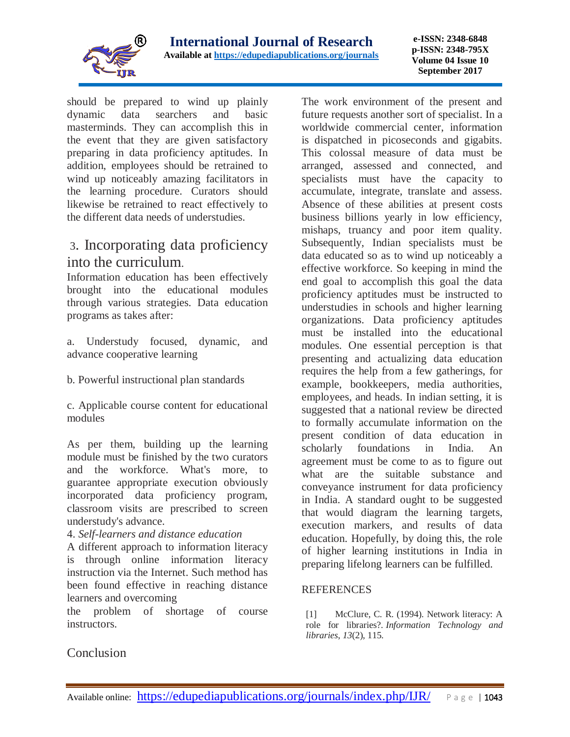

**e-ISSN: 2348-6848 p-ISSN: 2348-795X Volume 04 Issue 10 September 2017**

should be prepared to wind up plainly dynamic data searchers and basic masterminds. They can accomplish this in the event that they are given satisfactory preparing in data proficiency aptitudes. In addition, employees should be retrained to wind up noticeably amazing facilitators in the learning procedure. Curators should likewise be retrained to react effectively to the different data needs of understudies.

# 3. Incorporating data proficiency into the curriculum.

Information education has been effectively brought into the educational modules through various strategies. Data education programs as takes after:

a. Understudy focused, dynamic, and advance cooperative learning

b. Powerful instructional plan standards

c. Applicable course content for educational modules

As per them, building up the learning module must be finished by the two curators and the workforce. What's more, to guarantee appropriate execution obviously incorporated data proficiency program, classroom visits are prescribed to screen understudy's advance.

#### 4. *Self-learners and distance education*

A different approach to information literacy is through online information literacy instruction via the Internet. Such method has been found effective in reaching distance learners and overcoming

the problem of shortage of course instructors.

The work environment of the present and future requests another sort of specialist. In a worldwide commercial center, information is dispatched in picoseconds and gigabits. This colossal measure of data must be arranged, assessed and connected, and specialists must have the capacity to accumulate, integrate, translate and assess. Absence of these abilities at present costs business billions yearly in low efficiency, mishaps, truancy and poor item quality. Subsequently, Indian specialists must be data educated so as to wind up noticeably a effective workforce. So keeping in mind the end goal to accomplish this goal the data proficiency aptitudes must be instructed to understudies in schools and higher learning organizations. Data proficiency aptitudes must be installed into the educational modules. One essential perception is that presenting and actualizing data education requires the help from a few gatherings, for example, bookkeepers, media authorities, employees, and heads. In indian setting, it is suggested that a national review be directed to formally accumulate information on the present condition of data education in scholarly foundations in India. An agreement must be come to as to figure out what are the suitable substance and conveyance instrument for data proficiency in India. A standard ought to be suggested that would diagram the learning targets, execution markers, and results of data education. Hopefully, by doing this, the role of higher learning institutions in India in preparing lifelong learners can be fulfilled.

#### **REFERENCES**

[1] McClure, C. R. (1994). Network literacy: A role for libraries?. *Information Technology and libraries*, *13*(2), 115.

### Conclusion